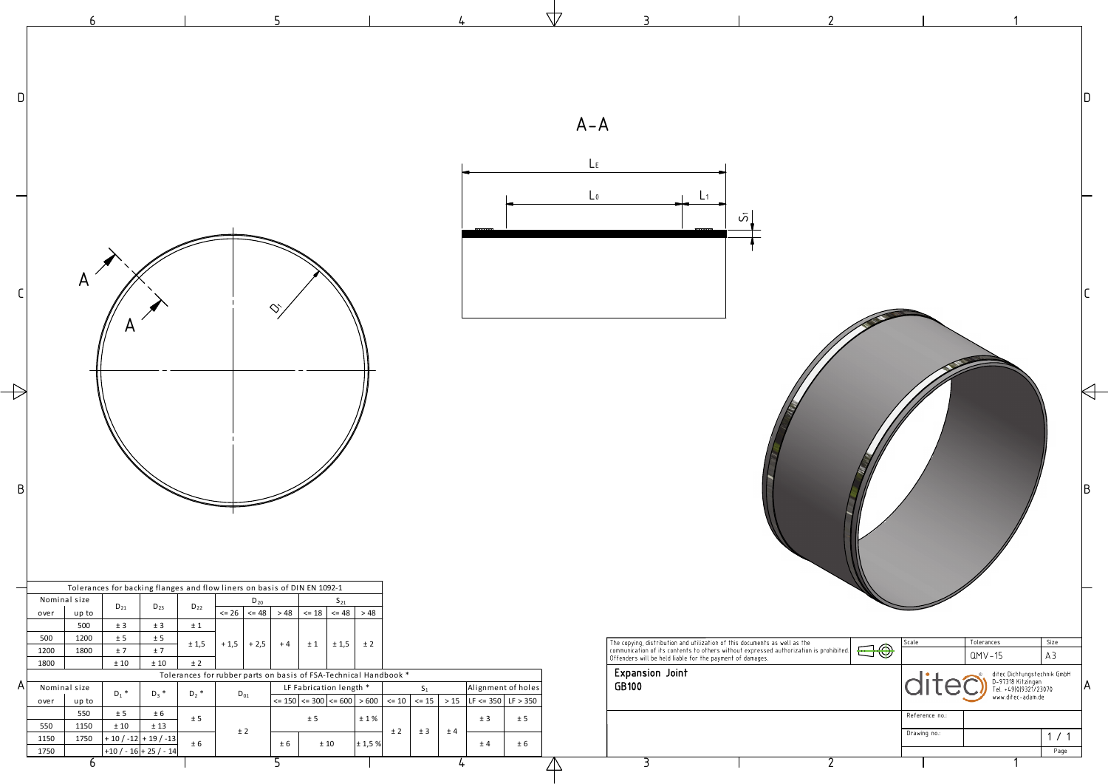2